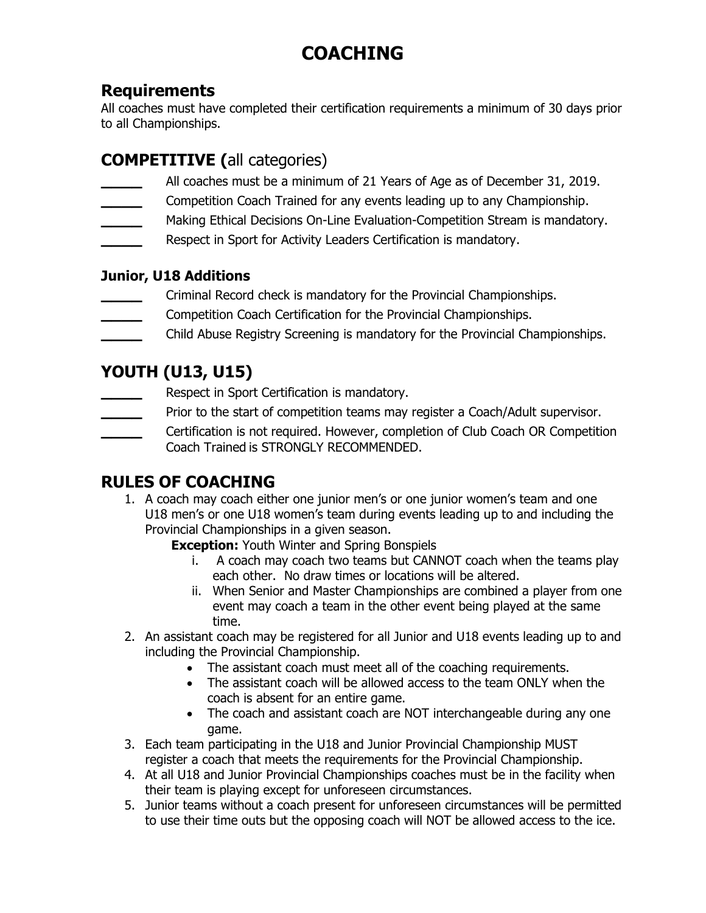# **COACHING**

#### **Requirements**

All coaches must have completed their certification requirements a minimum of 30 days prior to all Championships.

# **COMPETITIVE (**all categories)

- **\_\_\_\_** All coaches must be a minimum of 21 Years of Age as of December 31, 2019.
- **\_\_\_\_** Competition Coach Trained for any events leading up to any Championship.
- **\_\_\_\_** Making Ethical Decisions On-Line Evaluation-Competition Stream is mandatory.
- **\_\_\_\_** Respect in Sport for Activity Leaders Certification is mandatory.

#### **Junior, U18 Additions**

- **\_\_\_\_** Criminal Record check is mandatory for the Provincial Championships.
- **\_\_\_\_** Competition Coach Certification for the Provincial Championships.
- **\_\_\_\_** Child Abuse Registry Screening is mandatory for the Provincial Championships.

## **YOUTH (U13, U15)**

- **\_\_\_\_** Respect in Sport Certification is mandatory.
- Prior to the start of competition teams may register a Coach/Adult supervisor.
- **\_\_\_\_** Certification is not required. However, completion of Club Coach OR Competition Coach Trained is STRONGLY RECOMMENDED.

### **RULES OF COACHING**

- 1. A coach may coach either one junior men's or one junior women's team and one U18 men's or one U18 women's team during events leading up to and including the Provincial Championships in a given season.
	- **Exception:** Youth Winter and Spring Bonspiels
		- i. A coach may coach two teams but CANNOT coach when the teams play each other. No draw times or locations will be altered.
		- ii. When Senior and Master Championships are combined a player from one event may coach a team in the other event being played at the same time.
- 2. An assistant coach may be registered for all Junior and U18 events leading up to and including the Provincial Championship.
	- The assistant coach must meet all of the coaching requirements.
	- The assistant coach will be allowed access to the team ONLY when the coach is absent for an entire game.
	- The coach and assistant coach are NOT interchangeable during any one game.
- 3. Each team participating in the U18 and Junior Provincial Championship MUST register a coach that meets the requirements for the Provincial Championship.
- 4. At all U18 and Junior Provincial Championships coaches must be in the facility when their team is playing except for unforeseen circumstances.
- 5. Junior teams without a coach present for unforeseen circumstances will be permitted to use their time outs but the opposing coach will NOT be allowed access to the ice.